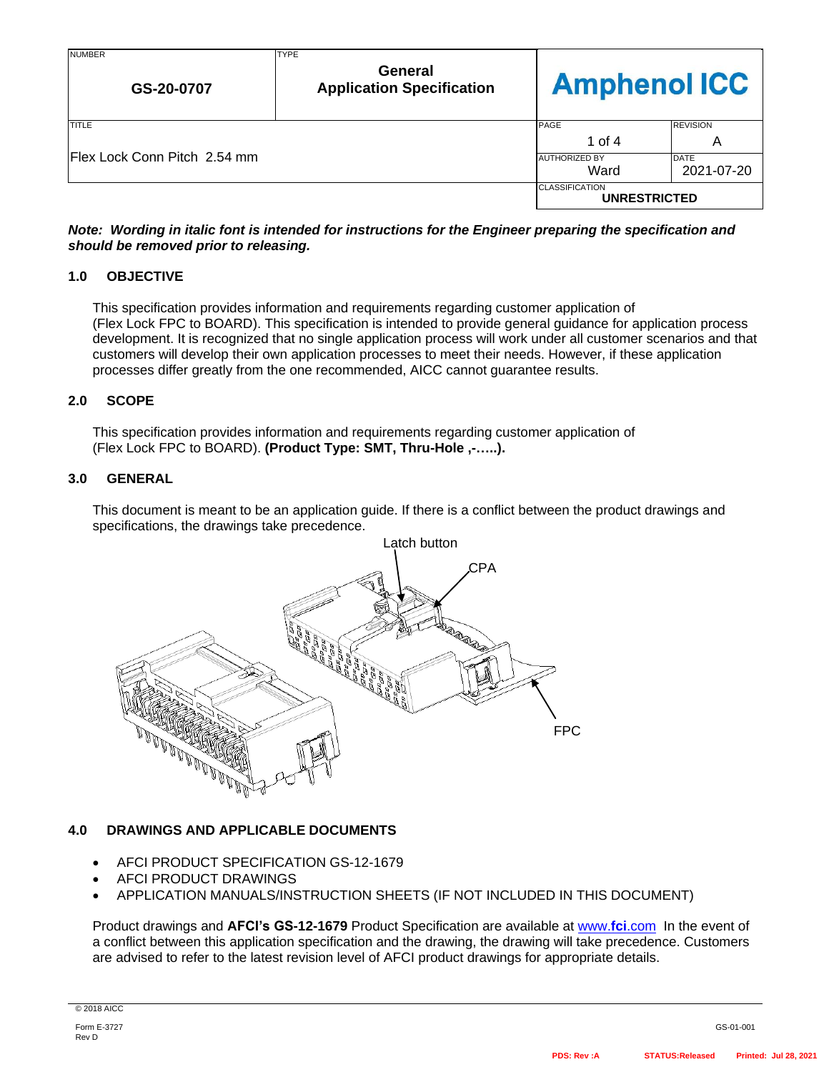| <b>NUMBER</b><br>GS-20-0707          | <b>TYPE</b><br>General<br><b>Application Specification</b> | <b>Amphenol ICC</b>                          |                 |
|--------------------------------------|------------------------------------------------------------|----------------------------------------------|-----------------|
| <b>TITLE</b>                         |                                                            | PAGE                                         | <b>REVISION</b> |
|                                      |                                                            | 1 of 4                                       | A               |
| <b>IFlex Lock Conn Pitch 2.54 mm</b> |                                                            | <b>AUTHORIZED BY</b>                         | <b>DATE</b>     |
|                                      |                                                            | Ward                                         | 2021-07-20      |
|                                      |                                                            | <b>CLASSIFICATION</b><br><b>UNRESTRICTED</b> |                 |

### *Note: Wording in italic font is intended for instructions for the Engineer preparing the specification and should be removed prior to releasing.*

### **1.0 OBJECTIVE**

This specification provides information and requirements regarding customer application of (Flex Lock FPC to BOARD). This specification is intended to provide general guidance for application process development. It is recognized that no single application process will work under all customer scenarios and that customers will develop their own application processes to meet their needs. However, if these application processes differ greatly from the one recommended, AICC cannot guarantee results.

### **2.0 SCOPE**

This specification provides information and requirements regarding customer application of (Flex Lock FPC to BOARD). **(Product Type: SMT, Thru-Hole ,-…..).**

### **3.0 GENERAL**

This document is meant to be an application guide. If there is a conflict between the product drawings and specifications, the drawings take precedence.



### **4.0 DRAWINGS AND APPLICABLE DOCUMENTS**

- AFCI PRODUCT SPECIFICATION GS-12-1679
- AFCI PRODUCT DRAWINGS
- APPLICATION MANUALS/INSTRUCTION SHEETS (IF NOT INCLUDED IN THIS DOCUMENT)

Product drawings and **AFCI's GS-12-1679** Product Specification are available at [www.](http://www.fci.com/)**fci**.com In the event of a conflict between this application specification and the drawing, the drawing will take precedence. Customers are advised to refer to the latest revision level of AFCI product drawings for appropriate details.

© 2018 AICC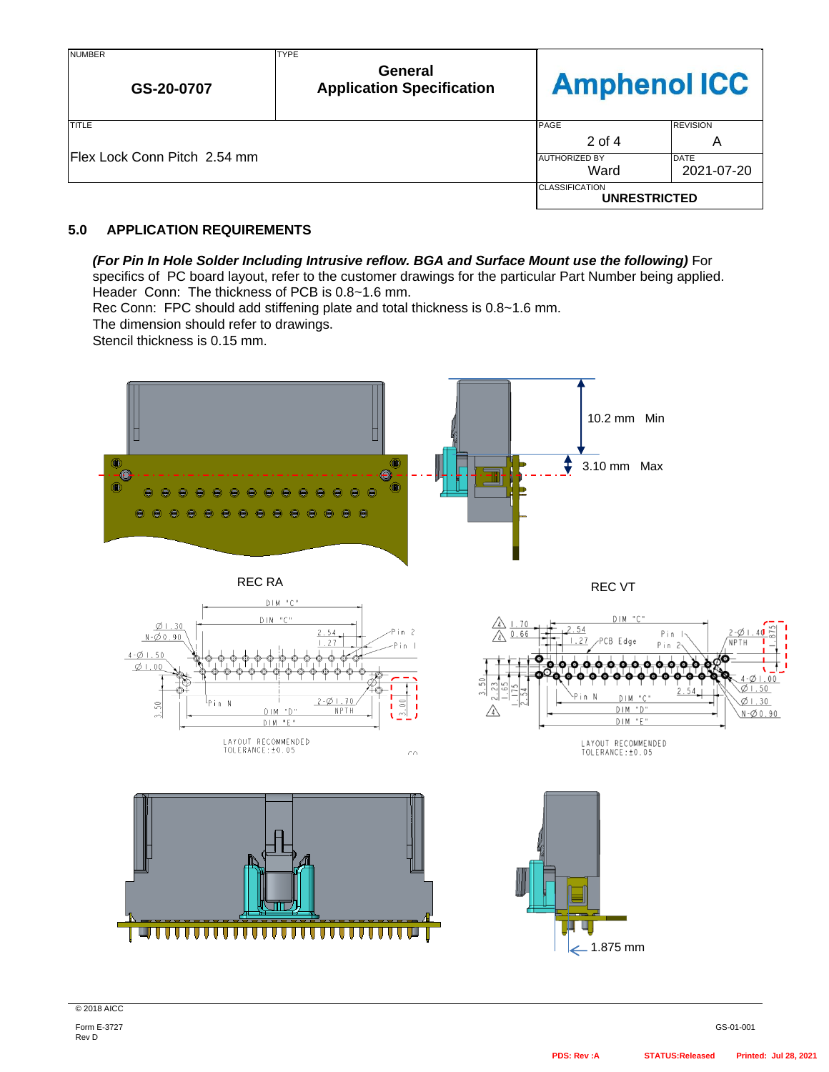| <b>NUMBER</b><br>GS-20-0707   | <b>TYPE</b><br>General<br><b>Application Specification</b> | <b>Amphenol ICC</b>                          |                 |
|-------------------------------|------------------------------------------------------------|----------------------------------------------|-----------------|
| TITLE                         |                                                            | <b>PAGE</b>                                  | <b>REVISION</b> |
|                               |                                                            | 2 of 4                                       | A               |
| IFlex Lock Conn Pitch 2.54 mm |                                                            | <b>AUTHORIZED BY</b>                         | DATE            |
|                               |                                                            | Ward                                         | 2021-07-20      |
|                               |                                                            | <b>CLASSIFICATION</b><br><b>UNRESTRICTED</b> |                 |

# **5.0 APPLICATION REQUIREMENTS**

# *(For Pin In Hole Solder Including Intrusive reflow. BGA and Surface Mount use the following)* For

specifics of PC board layout, refer to the customer drawings for the particular Part Number being applied. Header Conn: The thickness of PCB is 0.8~1.6 mm.

Rec Conn: FPC should add stiffening plate and total thickness is 0.8~1.6 mm.

The dimension should refer to drawings.

Stencil thickness is 0.15 mm.



© 2018 AICC

Form E-3727 Rev D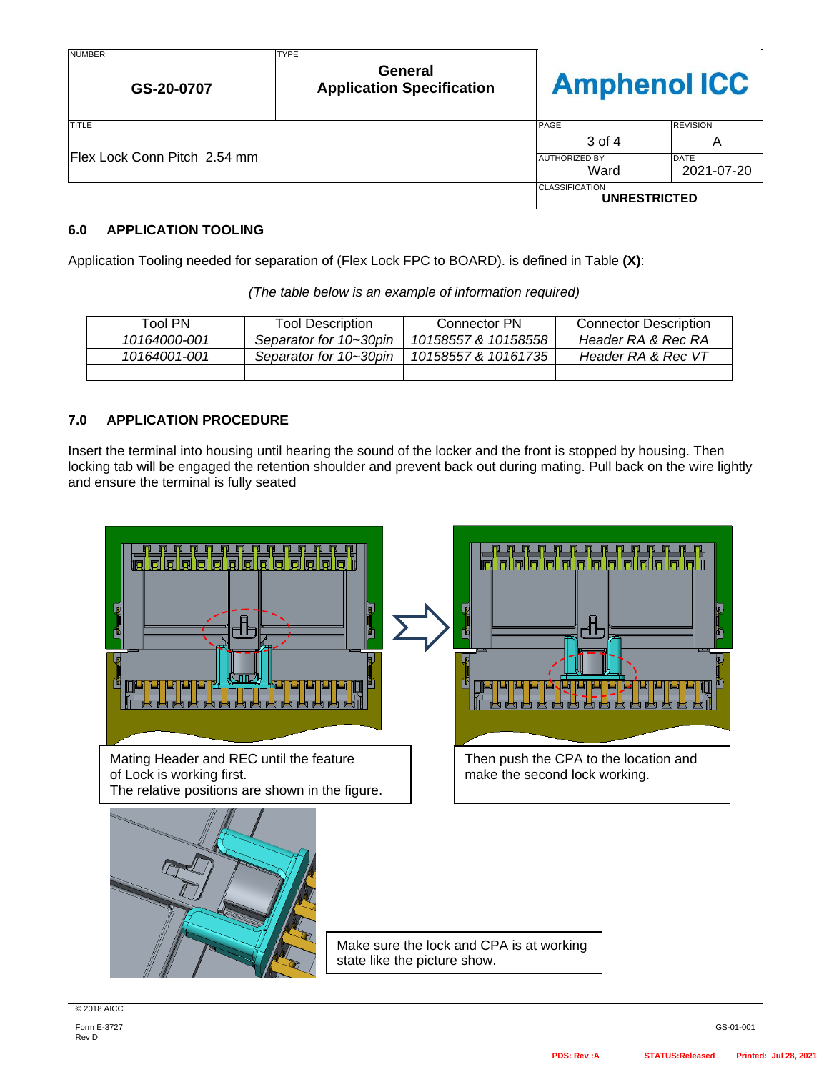| <b>NUMBER</b><br>GS-20-0707   | <b>TYPE</b><br>General<br><b>Application Specification</b> | <b>Amphenol ICC</b>                          |                           |
|-------------------------------|------------------------------------------------------------|----------------------------------------------|---------------------------|
| <b>TITLE</b>                  |                                                            | <b>PAGE</b>                                  | <b>REVISION</b>           |
|                               |                                                            | 3 of 4                                       | Α                         |
| IFlex Lock Conn Pitch 2.54 mm |                                                            | <b>AUTHORIZED BY</b><br>Ward                 | <b>DATE</b><br>2021-07-20 |
|                               |                                                            | <b>CLASSIFICATION</b><br><b>UNRESTRICTED</b> |                           |

### **6.0 APPLICATION TOOLING**

Application Tooling needed for separation of (Flex Lock FPC to BOARD). is defined in Table **(X)**:

| Tool PN      | <b>Tool Description</b> | Connector PN        | <b>Connector Description</b> |
|--------------|-------------------------|---------------------|------------------------------|
| 10164000-001 | Separator for 10~30pin  | 10158557 & 10158558 | Header RA & Rec RA           |
| 10164001-001 | Separator for 10~30pin  | 10158557 & 10161735 | Header RA & Rec VT           |
|              |                         |                     |                              |

#### *(The table below is an example of information required)*

# **7.0 APPLICATION PROCEDURE**

Insert the terminal into housing until hearing the sound of the locker and the front is stopped by housing. Then locking tab will be engaged the retention shoulder and prevent back out during mating. Pull back on the wire lightly and ensure the terminal is fully seated